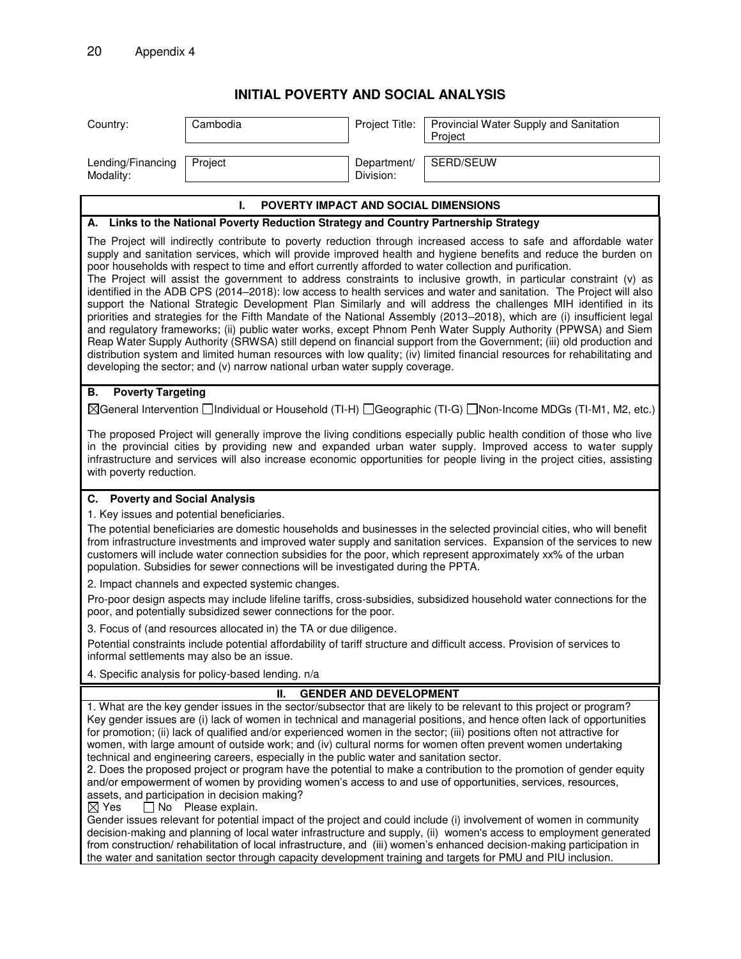## **INITIAL POVERTY AND SOCIAL ANALYSIS**

| SERD/SEUW<br>Project<br>Lending/Financing<br>Department/<br>Division:<br>Modality:<br>L.<br><b>POVERTY IMPACT AND SOCIAL DIMENSIONS</b><br>A. Links to the National Poverty Reduction Strategy and Country Partnership Strategy<br>The Project will indirectly contribute to poverty reduction through increased access to safe and affordable water<br>supply and sanitation services, which will provide improved health and hygiene benefits and reduce the burden on<br>poor households with respect to time and effort currently afforded to water collection and purification.<br>The Project will assist the government to address constraints to inclusive growth, in particular constraint (v) as<br>identified in the ADB CPS (2014–2018): low access to health services and water and sanitation. The Project will also<br>support the National Strategic Development Plan Similarly and will address the challenges MIH identified in its<br>priorities and strategies for the Fifth Mandate of the National Assembly (2013–2018), which are (i) insufficient legal<br>and regulatory frameworks; (ii) public water works, except Phnom Penh Water Supply Authority (PPWSA) and Siem<br>Reap Water Supply Authority (SRWSA) still depend on financial support from the Government; (iii) old production and<br>distribution system and limited human resources with low quality; (iv) limited financial resources for rehabilitating and<br>developing the sector; and (v) narrow national urban water supply coverage.<br><b>Poverty Targeting</b><br>В.<br>⊠General Intervention Individual or Household (TI-H) I Geographic (TI-G) I Non-Income MDGs (TI-M1, M2, etc.)<br>The proposed Project will generally improve the living conditions especially public health condition of those who live<br>in the provincial cities by providing new and expanded urban water supply. Improved access to water supply<br>infrastructure and services will also increase economic opportunities for people living in the project cities, assisting<br>with poverty reduction.<br>C. Poverty and Social Analysis<br>1. Key issues and potential beneficiaries.<br>The potential beneficiaries are domestic households and businesses in the selected provincial cities, who will benefit<br>from infrastructure investments and improved water supply and sanitation services. Expansion of the services to new<br>customers will include water connection subsidies for the poor, which represent approximately xx% of the urban<br>population. Subsidies for sewer connections will be investigated during the PPTA.<br>2. Impact channels and expected systemic changes.<br>Pro-poor design aspects may include lifeline tariffs, cross-subsidies, subsidized household water connections for the<br>poor, and potentially subsidized sewer connections for the poor.<br>3. Focus of (and resources allocated in) the TA or due diligence.<br>Potential constraints include potential affordability of tariff structure and difficult access. Provision of services to<br>informal settlements may also be an issue.<br>4. Specific analysis for policy-based lending. n/a<br><b>GENDER AND DEVELOPMENT</b><br>н.<br>1. What are the key gender issues in the sector/subsector that are likely to be relevant to this project or program?<br>Key gender issues are (i) lack of women in technical and managerial positions, and hence often lack of opportunities<br>for promotion; (ii) lack of qualified and/or experienced women in the sector; (iii) positions often not attractive for<br>women, with large amount of outside work; and (iv) cultural norms for women often prevent women undertaking<br>technical and engineering careers, especially in the public water and sanitation sector.<br>2. Does the proposed project or program have the potential to make a contribution to the promotion of gender equity<br>and/or empowerment of women by providing women's access to and use of opportunities, services, resources,<br>assets, and participation in decision making?<br>$\Box$ No Please explain.<br>$\boxtimes$ Yes<br>Gender issues relevant for potential impact of the project and could include (i) involvement of women in community<br>decision-making and planning of local water infrastructure and supply, (ii) women's access to employment generated<br>from construction/rehabilitation of local infrastructure, and (iii) women's enhanced decision-making participation in<br>the water and sanitation sector through capacity development training and targets for PMU and PIU inclusion. | Country: | Cambodia | Project Title: | Provincial Water Supply and Sanitation<br>Project |  |  |
|-------------------------------------------------------------------------------------------------------------------------------------------------------------------------------------------------------------------------------------------------------------------------------------------------------------------------------------------------------------------------------------------------------------------------------------------------------------------------------------------------------------------------------------------------------------------------------------------------------------------------------------------------------------------------------------------------------------------------------------------------------------------------------------------------------------------------------------------------------------------------------------------------------------------------------------------------------------------------------------------------------------------------------------------------------------------------------------------------------------------------------------------------------------------------------------------------------------------------------------------------------------------------------------------------------------------------------------------------------------------------------------------------------------------------------------------------------------------------------------------------------------------------------------------------------------------------------------------------------------------------------------------------------------------------------------------------------------------------------------------------------------------------------------------------------------------------------------------------------------------------------------------------------------------------------------------------------------------------------------------------------------------------------------------------------------------------------------------------------------------------------------------------------------------------------------------------------------------------------------------------------------------------------------------------------------------------------------------------------------------------------------------------------------------------------------------------------------------------------------------------------------------------------------------------------------------------------------------------------------------------------------------------------------------------------------------------------------------------------------------------------------------------------------------------------------------------------------------------------------------------------------------------------------------------------------------------------------------------------------------------------------------------------------------------------------------------------------------------------------------------------------------------------------------------------------------------------------------------------------------------------------------------------------------------------------------------------------------------------------------------------------------------------------------------------------------------------------------------------------------------------------------------------------------------------------------------------------------------------------------------------------------------------------------------------------------------------------------------------------------------------------------------------------------------------------------------------------------------------------------------------------------------------------------------------------------------------------------------------------------------------------------------------------------------------------------------------------------------------------------------------------------------------------------------------------------------------------------------------------------------------------------------------------------------------------------------------------------------------------------------------------------------------------------------------------------------------------------------------------------------------------------------------------------------------------------------------------------------------------------------------------------|----------|----------|----------------|---------------------------------------------------|--|--|
|                                                                                                                                                                                                                                                                                                                                                                                                                                                                                                                                                                                                                                                                                                                                                                                                                                                                                                                                                                                                                                                                                                                                                                                                                                                                                                                                                                                                                                                                                                                                                                                                                                                                                                                                                                                                                                                                                                                                                                                                                                                                                                                                                                                                                                                                                                                                                                                                                                                                                                                                                                                                                                                                                                                                                                                                                                                                                                                                                                                                                                                                                                                                                                                                                                                                                                                                                                                                                                                                                                                                                                                                                                                                                                                                                                                                                                                                                                                                                                                                                                                                                                                                                                                                                                                                                                                                                                                                                                                                                                                                                                                                                                           |          |          |                |                                                   |  |  |
|                                                                                                                                                                                                                                                                                                                                                                                                                                                                                                                                                                                                                                                                                                                                                                                                                                                                                                                                                                                                                                                                                                                                                                                                                                                                                                                                                                                                                                                                                                                                                                                                                                                                                                                                                                                                                                                                                                                                                                                                                                                                                                                                                                                                                                                                                                                                                                                                                                                                                                                                                                                                                                                                                                                                                                                                                                                                                                                                                                                                                                                                                                                                                                                                                                                                                                                                                                                                                                                                                                                                                                                                                                                                                                                                                                                                                                                                                                                                                                                                                                                                                                                                                                                                                                                                                                                                                                                                                                                                                                                                                                                                                                           |          |          |                |                                                   |  |  |
|                                                                                                                                                                                                                                                                                                                                                                                                                                                                                                                                                                                                                                                                                                                                                                                                                                                                                                                                                                                                                                                                                                                                                                                                                                                                                                                                                                                                                                                                                                                                                                                                                                                                                                                                                                                                                                                                                                                                                                                                                                                                                                                                                                                                                                                                                                                                                                                                                                                                                                                                                                                                                                                                                                                                                                                                                                                                                                                                                                                                                                                                                                                                                                                                                                                                                                                                                                                                                                                                                                                                                                                                                                                                                                                                                                                                                                                                                                                                                                                                                                                                                                                                                                                                                                                                                                                                                                                                                                                                                                                                                                                                                                           |          |          |                |                                                   |  |  |
|                                                                                                                                                                                                                                                                                                                                                                                                                                                                                                                                                                                                                                                                                                                                                                                                                                                                                                                                                                                                                                                                                                                                                                                                                                                                                                                                                                                                                                                                                                                                                                                                                                                                                                                                                                                                                                                                                                                                                                                                                                                                                                                                                                                                                                                                                                                                                                                                                                                                                                                                                                                                                                                                                                                                                                                                                                                                                                                                                                                                                                                                                                                                                                                                                                                                                                                                                                                                                                                                                                                                                                                                                                                                                                                                                                                                                                                                                                                                                                                                                                                                                                                                                                                                                                                                                                                                                                                                                                                                                                                                                                                                                                           |          |          |                |                                                   |  |  |
|                                                                                                                                                                                                                                                                                                                                                                                                                                                                                                                                                                                                                                                                                                                                                                                                                                                                                                                                                                                                                                                                                                                                                                                                                                                                                                                                                                                                                                                                                                                                                                                                                                                                                                                                                                                                                                                                                                                                                                                                                                                                                                                                                                                                                                                                                                                                                                                                                                                                                                                                                                                                                                                                                                                                                                                                                                                                                                                                                                                                                                                                                                                                                                                                                                                                                                                                                                                                                                                                                                                                                                                                                                                                                                                                                                                                                                                                                                                                                                                                                                                                                                                                                                                                                                                                                                                                                                                                                                                                                                                                                                                                                                           |          |          |                |                                                   |  |  |
|                                                                                                                                                                                                                                                                                                                                                                                                                                                                                                                                                                                                                                                                                                                                                                                                                                                                                                                                                                                                                                                                                                                                                                                                                                                                                                                                                                                                                                                                                                                                                                                                                                                                                                                                                                                                                                                                                                                                                                                                                                                                                                                                                                                                                                                                                                                                                                                                                                                                                                                                                                                                                                                                                                                                                                                                                                                                                                                                                                                                                                                                                                                                                                                                                                                                                                                                                                                                                                                                                                                                                                                                                                                                                                                                                                                                                                                                                                                                                                                                                                                                                                                                                                                                                                                                                                                                                                                                                                                                                                                                                                                                                                           |          |          |                |                                                   |  |  |
|                                                                                                                                                                                                                                                                                                                                                                                                                                                                                                                                                                                                                                                                                                                                                                                                                                                                                                                                                                                                                                                                                                                                                                                                                                                                                                                                                                                                                                                                                                                                                                                                                                                                                                                                                                                                                                                                                                                                                                                                                                                                                                                                                                                                                                                                                                                                                                                                                                                                                                                                                                                                                                                                                                                                                                                                                                                                                                                                                                                                                                                                                                                                                                                                                                                                                                                                                                                                                                                                                                                                                                                                                                                                                                                                                                                                                                                                                                                                                                                                                                                                                                                                                                                                                                                                                                                                                                                                                                                                                                                                                                                                                                           |          |          |                |                                                   |  |  |
|                                                                                                                                                                                                                                                                                                                                                                                                                                                                                                                                                                                                                                                                                                                                                                                                                                                                                                                                                                                                                                                                                                                                                                                                                                                                                                                                                                                                                                                                                                                                                                                                                                                                                                                                                                                                                                                                                                                                                                                                                                                                                                                                                                                                                                                                                                                                                                                                                                                                                                                                                                                                                                                                                                                                                                                                                                                                                                                                                                                                                                                                                                                                                                                                                                                                                                                                                                                                                                                                                                                                                                                                                                                                                                                                                                                                                                                                                                                                                                                                                                                                                                                                                                                                                                                                                                                                                                                                                                                                                                                                                                                                                                           |          |          |                |                                                   |  |  |
|                                                                                                                                                                                                                                                                                                                                                                                                                                                                                                                                                                                                                                                                                                                                                                                                                                                                                                                                                                                                                                                                                                                                                                                                                                                                                                                                                                                                                                                                                                                                                                                                                                                                                                                                                                                                                                                                                                                                                                                                                                                                                                                                                                                                                                                                                                                                                                                                                                                                                                                                                                                                                                                                                                                                                                                                                                                                                                                                                                                                                                                                                                                                                                                                                                                                                                                                                                                                                                                                                                                                                                                                                                                                                                                                                                                                                                                                                                                                                                                                                                                                                                                                                                                                                                                                                                                                                                                                                                                                                                                                                                                                                                           |          |          |                |                                                   |  |  |
|                                                                                                                                                                                                                                                                                                                                                                                                                                                                                                                                                                                                                                                                                                                                                                                                                                                                                                                                                                                                                                                                                                                                                                                                                                                                                                                                                                                                                                                                                                                                                                                                                                                                                                                                                                                                                                                                                                                                                                                                                                                                                                                                                                                                                                                                                                                                                                                                                                                                                                                                                                                                                                                                                                                                                                                                                                                                                                                                                                                                                                                                                                                                                                                                                                                                                                                                                                                                                                                                                                                                                                                                                                                                                                                                                                                                                                                                                                                                                                                                                                                                                                                                                                                                                                                                                                                                                                                                                                                                                                                                                                                                                                           |          |          |                |                                                   |  |  |
|                                                                                                                                                                                                                                                                                                                                                                                                                                                                                                                                                                                                                                                                                                                                                                                                                                                                                                                                                                                                                                                                                                                                                                                                                                                                                                                                                                                                                                                                                                                                                                                                                                                                                                                                                                                                                                                                                                                                                                                                                                                                                                                                                                                                                                                                                                                                                                                                                                                                                                                                                                                                                                                                                                                                                                                                                                                                                                                                                                                                                                                                                                                                                                                                                                                                                                                                                                                                                                                                                                                                                                                                                                                                                                                                                                                                                                                                                                                                                                                                                                                                                                                                                                                                                                                                                                                                                                                                                                                                                                                                                                                                                                           |          |          |                |                                                   |  |  |
|                                                                                                                                                                                                                                                                                                                                                                                                                                                                                                                                                                                                                                                                                                                                                                                                                                                                                                                                                                                                                                                                                                                                                                                                                                                                                                                                                                                                                                                                                                                                                                                                                                                                                                                                                                                                                                                                                                                                                                                                                                                                                                                                                                                                                                                                                                                                                                                                                                                                                                                                                                                                                                                                                                                                                                                                                                                                                                                                                                                                                                                                                                                                                                                                                                                                                                                                                                                                                                                                                                                                                                                                                                                                                                                                                                                                                                                                                                                                                                                                                                                                                                                                                                                                                                                                                                                                                                                                                                                                                                                                                                                                                                           |          |          |                |                                                   |  |  |
|                                                                                                                                                                                                                                                                                                                                                                                                                                                                                                                                                                                                                                                                                                                                                                                                                                                                                                                                                                                                                                                                                                                                                                                                                                                                                                                                                                                                                                                                                                                                                                                                                                                                                                                                                                                                                                                                                                                                                                                                                                                                                                                                                                                                                                                                                                                                                                                                                                                                                                                                                                                                                                                                                                                                                                                                                                                                                                                                                                                                                                                                                                                                                                                                                                                                                                                                                                                                                                                                                                                                                                                                                                                                                                                                                                                                                                                                                                                                                                                                                                                                                                                                                                                                                                                                                                                                                                                                                                                                                                                                                                                                                                           |          |          |                |                                                   |  |  |
|                                                                                                                                                                                                                                                                                                                                                                                                                                                                                                                                                                                                                                                                                                                                                                                                                                                                                                                                                                                                                                                                                                                                                                                                                                                                                                                                                                                                                                                                                                                                                                                                                                                                                                                                                                                                                                                                                                                                                                                                                                                                                                                                                                                                                                                                                                                                                                                                                                                                                                                                                                                                                                                                                                                                                                                                                                                                                                                                                                                                                                                                                                                                                                                                                                                                                                                                                                                                                                                                                                                                                                                                                                                                                                                                                                                                                                                                                                                                                                                                                                                                                                                                                                                                                                                                                                                                                                                                                                                                                                                                                                                                                                           |          |          |                |                                                   |  |  |
|                                                                                                                                                                                                                                                                                                                                                                                                                                                                                                                                                                                                                                                                                                                                                                                                                                                                                                                                                                                                                                                                                                                                                                                                                                                                                                                                                                                                                                                                                                                                                                                                                                                                                                                                                                                                                                                                                                                                                                                                                                                                                                                                                                                                                                                                                                                                                                                                                                                                                                                                                                                                                                                                                                                                                                                                                                                                                                                                                                                                                                                                                                                                                                                                                                                                                                                                                                                                                                                                                                                                                                                                                                                                                                                                                                                                                                                                                                                                                                                                                                                                                                                                                                                                                                                                                                                                                                                                                                                                                                                                                                                                                                           |          |          |                |                                                   |  |  |
|                                                                                                                                                                                                                                                                                                                                                                                                                                                                                                                                                                                                                                                                                                                                                                                                                                                                                                                                                                                                                                                                                                                                                                                                                                                                                                                                                                                                                                                                                                                                                                                                                                                                                                                                                                                                                                                                                                                                                                                                                                                                                                                                                                                                                                                                                                                                                                                                                                                                                                                                                                                                                                                                                                                                                                                                                                                                                                                                                                                                                                                                                                                                                                                                                                                                                                                                                                                                                                                                                                                                                                                                                                                                                                                                                                                                                                                                                                                                                                                                                                                                                                                                                                                                                                                                                                                                                                                                                                                                                                                                                                                                                                           |          |          |                |                                                   |  |  |
|                                                                                                                                                                                                                                                                                                                                                                                                                                                                                                                                                                                                                                                                                                                                                                                                                                                                                                                                                                                                                                                                                                                                                                                                                                                                                                                                                                                                                                                                                                                                                                                                                                                                                                                                                                                                                                                                                                                                                                                                                                                                                                                                                                                                                                                                                                                                                                                                                                                                                                                                                                                                                                                                                                                                                                                                                                                                                                                                                                                                                                                                                                                                                                                                                                                                                                                                                                                                                                                                                                                                                                                                                                                                                                                                                                                                                                                                                                                                                                                                                                                                                                                                                                                                                                                                                                                                                                                                                                                                                                                                                                                                                                           |          |          |                |                                                   |  |  |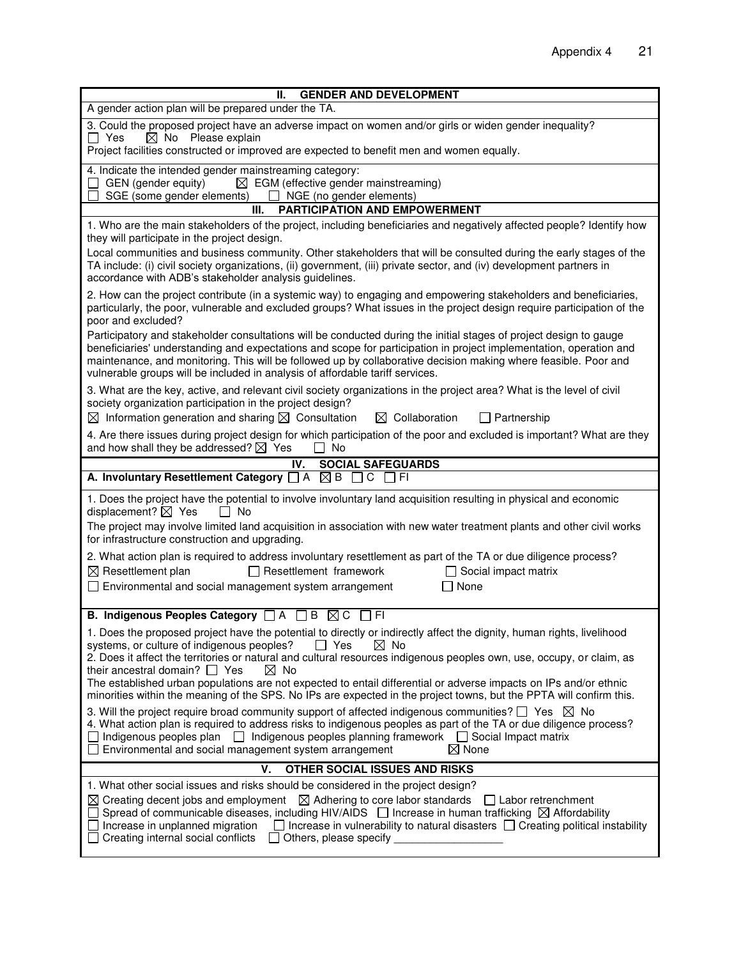| <b>GENDER AND DEVELOPMENT</b><br>Ш.                                                                                                                                                                                                                                                                                                                                                                                                                                                                                                    |  |  |  |  |
|----------------------------------------------------------------------------------------------------------------------------------------------------------------------------------------------------------------------------------------------------------------------------------------------------------------------------------------------------------------------------------------------------------------------------------------------------------------------------------------------------------------------------------------|--|--|--|--|
| A gender action plan will be prepared under the TA.                                                                                                                                                                                                                                                                                                                                                                                                                                                                                    |  |  |  |  |
| 3. Could the proposed project have an adverse impact on women and/or girls or widen gender inequality?<br>$\Box$ Yes<br>$\boxtimes$ No Please explain<br>Project facilities constructed or improved are expected to benefit men and women equally.                                                                                                                                                                                                                                                                                     |  |  |  |  |
| 4. Indicate the intended gender mainstreaming category:<br>$\boxtimes$ EGM (effective gender mainstreaming)<br>GEN (gender equity)<br>SGE (some gender elements)<br>$\Box$ NGE (no gender elements)                                                                                                                                                                                                                                                                                                                                    |  |  |  |  |
| <b>PARTICIPATION AND EMPOWERMENT</b><br>III.                                                                                                                                                                                                                                                                                                                                                                                                                                                                                           |  |  |  |  |
| 1. Who are the main stakeholders of the project, including beneficiaries and negatively affected people? Identify how<br>they will participate in the project design.                                                                                                                                                                                                                                                                                                                                                                  |  |  |  |  |
| Local communities and business community. Other stakeholders that will be consulted during the early stages of the<br>TA include: (i) civil society organizations, (ii) government, (iii) private sector, and (iv) development partners in<br>accordance with ADB's stakeholder analysis guidelines.                                                                                                                                                                                                                                   |  |  |  |  |
| 2. How can the project contribute (in a systemic way) to engaging and empowering stakeholders and beneficiaries,<br>particularly, the poor, vulnerable and excluded groups? What issues in the project design require participation of the<br>poor and excluded?                                                                                                                                                                                                                                                                       |  |  |  |  |
| Participatory and stakeholder consultations will be conducted during the initial stages of project design to gauge<br>beneficiaries' understanding and expectations and scope for participation in project implementation, operation and<br>maintenance, and monitoring. This will be followed up by collaborative decision making where feasible. Poor and<br>vulnerable groups will be included in analysis of affordable tariff services.                                                                                           |  |  |  |  |
| 3. What are the key, active, and relevant civil society organizations in the project area? What is the level of civil<br>society organization participation in the project design?                                                                                                                                                                                                                                                                                                                                                     |  |  |  |  |
| $\boxtimes$ Information generation and sharing $\boxtimes$ Consultation<br>$\boxtimes$ Collaboration<br>$\Box$ Partnership                                                                                                                                                                                                                                                                                                                                                                                                             |  |  |  |  |
| 4. Are there issues during project design for which participation of the poor and excluded is important? What are they<br>and how shall they be addressed? $\boxtimes$ Yes<br>l I No                                                                                                                                                                                                                                                                                                                                                   |  |  |  |  |
| <b>SOCIAL SAFEGUARDS</b><br>IV.<br>A. Involuntary Resettlement Category $\Box A \boxtimes B \Box C \Box F$                                                                                                                                                                                                                                                                                                                                                                                                                             |  |  |  |  |
|                                                                                                                                                                                                                                                                                                                                                                                                                                                                                                                                        |  |  |  |  |
| 1. Does the project have the potential to involve involuntary land acquisition resulting in physical and economic<br>displacement? $\boxtimes$ Yes<br>$\Box$ No                                                                                                                                                                                                                                                                                                                                                                        |  |  |  |  |
| The project may involve limited land acquisition in association with new water treatment plants and other civil works<br>for infrastructure construction and upgrading.                                                                                                                                                                                                                                                                                                                                                                |  |  |  |  |
| 2. What action plan is required to address involuntary resettlement as part of the TA or due diligence process?<br>$\boxtimes$ Resettlement plan<br>$\Box$ Resettlement framework<br>$\Box$ Social impact matrix                                                                                                                                                                                                                                                                                                                       |  |  |  |  |
| $\Box$ None<br>□ Environmental and social management system arrangement                                                                                                                                                                                                                                                                                                                                                                                                                                                                |  |  |  |  |
| B. Indigenous Peoples Category □ A □ B ⊠ C □ FI                                                                                                                                                                                                                                                                                                                                                                                                                                                                                        |  |  |  |  |
| 1. Does the proposed project have the potential to directly or indirectly affect the dignity, human rights, livelihood<br>$\boxtimes$ No<br>$\Box$ Yes<br>systems, or culture of indigenous peoples?<br>2. Does it affect the territories or natural and cultural resources indigenous peoples own, use, occupy, or claim, as<br>their ancestral domain? $\Box$ Yes<br>⊠ No                                                                                                                                                            |  |  |  |  |
| The established urban populations are not expected to entail differential or adverse impacts on IPs and/or ethnic<br>minorities within the meaning of the SPS. No IPs are expected in the project towns, but the PPTA will confirm this.                                                                                                                                                                                                                                                                                               |  |  |  |  |
| 3. Will the project require broad community support of affected indigenous communities? $\square$ Yes $\boxtimes$ No<br>4. What action plan is required to address risks to indigenous peoples as part of the TA or due diligence process?<br>Indigenous peoples plan   Indigenous peoples planning framework   Social Impact matrix<br>$\boxtimes$ None<br>Environmental and social management system arrangement                                                                                                                     |  |  |  |  |
| OTHER SOCIAL ISSUES AND RISKS<br>v.                                                                                                                                                                                                                                                                                                                                                                                                                                                                                                    |  |  |  |  |
| 1. What other social issues and risks should be considered in the project design?<br>$\boxtimes$ Creating decent jobs and employment $\boxtimes$ Adhering to core labor standards<br>$\Box$ Labor retrenchment<br>Spread of communicable diseases, including HIV/AIDS $\Box$ Increase in human trafficking $\boxtimes$ Affordability<br>$\Box$ Increase in vulnerability to natural disasters $\Box$ Creating political instability<br>Increase in unplanned migration<br>Creating internal social conflicts<br>Others, please specify |  |  |  |  |